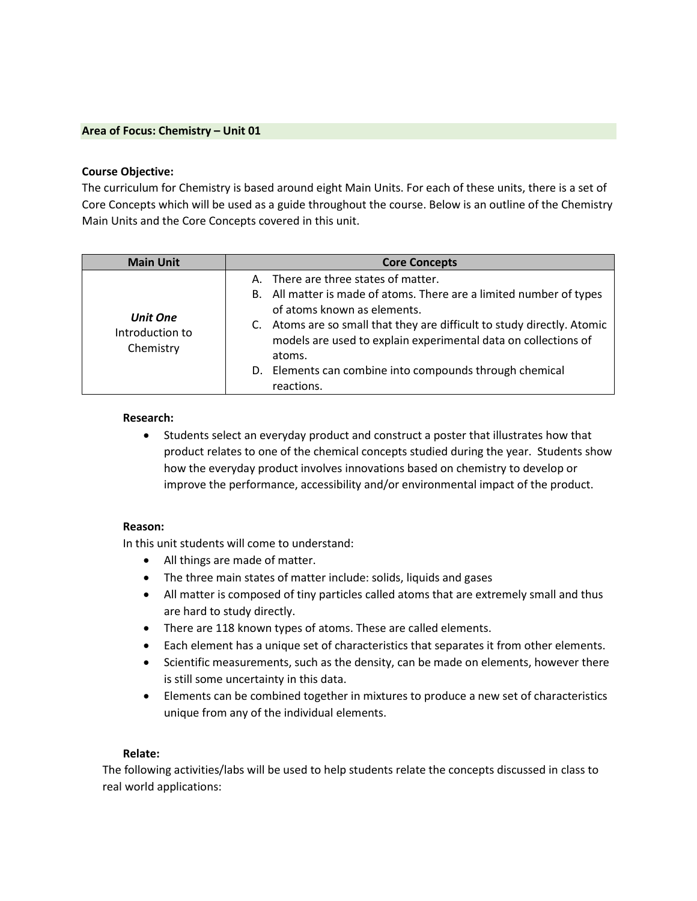### **Area of Focus: Chemistry – Unit 01**

### **Course Objective:**

The curriculum for Chemistry is based around eight Main Units. For each of these units, there is a set of Core Concepts which will be used as a guide throughout the course. Below is an outline of the Chemistry Main Units and the Core Concepts covered in this unit.

| <b>Main Unit</b>                                | <b>Core Concepts</b>                                                                                                                                                                                                                                                                                                                                         |
|-------------------------------------------------|--------------------------------------------------------------------------------------------------------------------------------------------------------------------------------------------------------------------------------------------------------------------------------------------------------------------------------------------------------------|
| <b>Unit One</b><br>Introduction to<br>Chemistry | A. There are three states of matter.<br>B. All matter is made of atoms. There are a limited number of types<br>of atoms known as elements.<br>C. Atoms are so small that they are difficult to study directly. Atomic<br>models are used to explain experimental data on collections of<br>atoms.<br>D. Elements can combine into compounds through chemical |
|                                                 | reactions.                                                                                                                                                                                                                                                                                                                                                   |

#### **Research:**

• Students select an everyday product and construct a poster that illustrates how that product relates to one of the chemical concepts studied during the year. Students show how the everyday product involves innovations based on chemistry to develop or improve the performance, accessibility and/or environmental impact of the product.

### **Reason:**

In this unit students will come to understand:

- All things are made of matter.
- The three main states of matter include: solids, liquids and gases
- All matter is composed of tiny particles called atoms that are extremely small and thus are hard to study directly.
- There are 118 known types of atoms. These are called elements.
- Each element has a unique set of characteristics that separates it from other elements.
- Scientific measurements, such as the density, can be made on elements, however there is still some uncertainty in this data.
- Elements can be combined together in mixtures to produce a new set of characteristics unique from any of the individual elements.

### **Relate:**

The following activities/labs will be used to help students relate the concepts discussed in class to real world applications: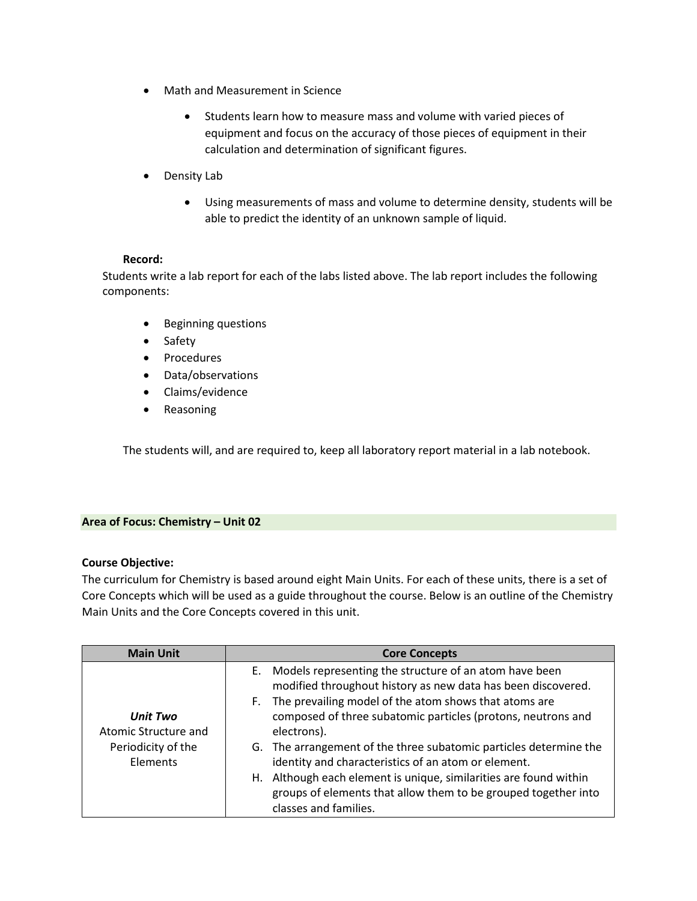- Math and Measurement in Science
	- Students learn how to measure mass and volume with varied pieces of equipment and focus on the accuracy of those pieces of equipment in their calculation and determination of significant figures.
- Density Lab
	- Using measurements of mass and volume to determine density, students will be able to predict the identity of an unknown sample of liquid.

## **Record:**

Students write a lab report for each of the labs listed above. The lab report includes the following components:

- Beginning questions
- Safety
- Procedures
- Data/observations
- Claims/evidence
- Reasoning

The students will, and are required to, keep all laboratory report material in a lab notebook.

## **Area of Focus: Chemistry – Unit 02**

## **Course Objective:**

The curriculum for Chemistry is based around eight Main Units. For each of these units, there is a set of Core Concepts which will be used as a guide throughout the course. Below is an outline of the Chemistry Main Units and the Core Concepts covered in this unit.

| <b>Main Unit</b>                        | <b>Core Concepts</b>                                                                                                                                                                        |
|-----------------------------------------|---------------------------------------------------------------------------------------------------------------------------------------------------------------------------------------------|
|                                         | Models representing the structure of an atom have been<br>E.<br>modified throughout history as new data has been discovered.<br>The prevailing model of the atom shows that atoms are<br>F. |
| <b>Unit Two</b><br>Atomic Structure and | composed of three subatomic particles (protons, neutrons and<br>electrons).                                                                                                                 |
| Periodicity of the<br>Elements          | G. The arrangement of the three subatomic particles determine the<br>identity and characteristics of an atom or element.                                                                    |
|                                         | Although each element is unique, similarities are found within<br>H.<br>groups of elements that allow them to be grouped together into<br>classes and families.                             |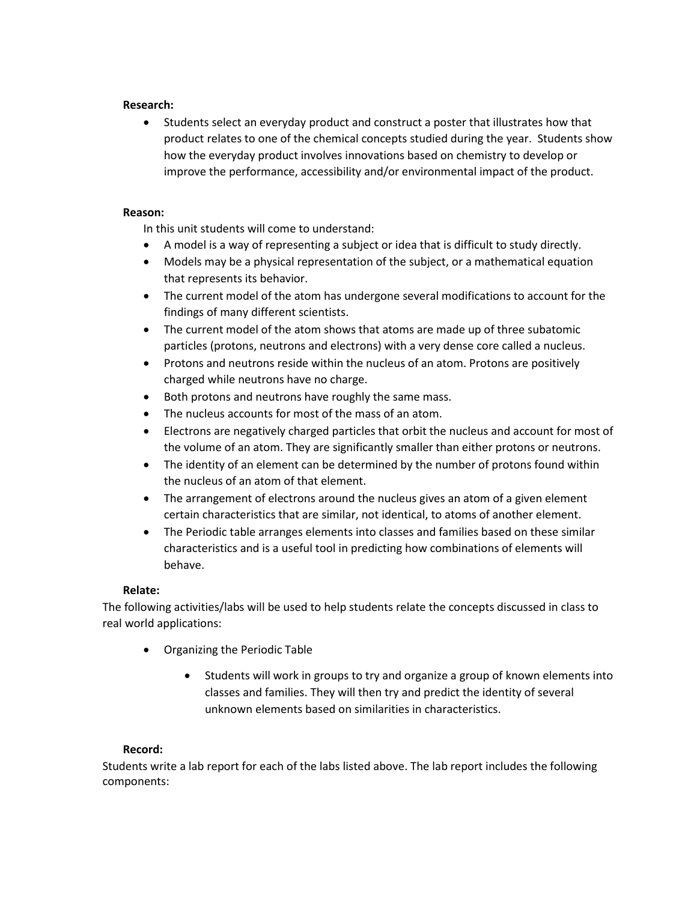• Students select an everyday product and construct a poster that illustrates how that product relates to one of the chemical concepts studied during the year. Students show how the everyday product involves innovations based on chemistry to develop or improve the performance, accessibility and/or environmental impact of the product.

## **Reason:**

In this unit students will come to understand:

- A model is a way of representing a subject or idea that is difficult to study directly.
- Models may be a physical representation of the subject, or a mathematical equation that represents its behavior.
- The current model of the atom has undergone several modifications to account for the findings of many different scientists.
- The current model of the atom shows that atoms are made up of three subatomic particles (protons, neutrons and electrons) with a very dense core called a nucleus.
- Protons and neutrons reside within the nucleus of an atom. Protons are positively charged while neutrons have no charge.
- Both protons and neutrons have roughly the same mass.
- The nucleus accounts for most of the mass of an atom.
- Electrons are negatively charged particles that orbit the nucleus and account for most of the volume of an atom. They are significantly smaller than either protons or neutrons.
- The identity of an element can be determined by the number of protons found within the nucleus of an atom of that element.
- The arrangement of electrons around the nucleus gives an atom of a given element certain characteristics that are similar, not identical, to atoms of another element.
- The Periodic table arranges elements into classes and families based on these similar characteristics and is a useful tool in predicting how combinations of elements will behave.

## **Relate:**

The following activities/labs will be used to help students relate the concepts discussed in class to real world applications:

- Organizing the Periodic Table
	- Students will work in groups to try and organize a group of known elements into classes and families. They will then try and predict the identity of several unknown elements based on similarities in characteristics.

## **Record:**

Students write a lab report for each of the labs listed above. The lab report includes the following components: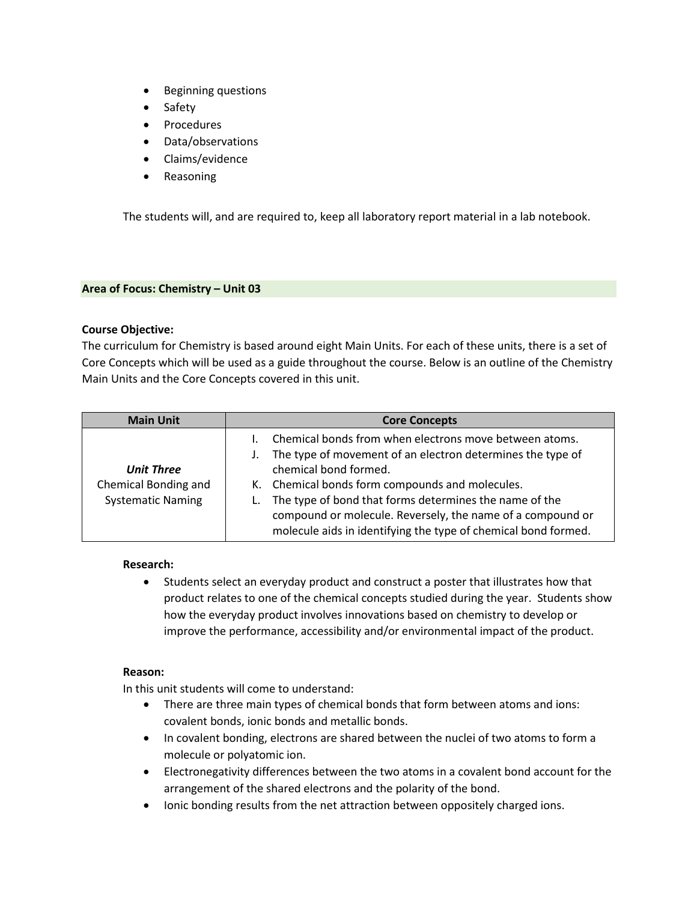- Beginning questions
- Safety
- Procedures
- Data/observations
- Claims/evidence
- Reasoning

The students will, and are required to, keep all laboratory report material in a lab notebook.

## **Area of Focus: Chemistry – Unit 03**

## **Course Objective:**

The curriculum for Chemistry is based around eight Main Units. For each of these units, there is a set of Core Concepts which will be used as a guide throughout the course. Below is an outline of the Chemistry Main Units and the Core Concepts covered in this unit.

| <b>Main Unit</b>                                                      | <b>Core Concepts</b>                                                                                                                                                                                                                                                                                                                                                                          |
|-----------------------------------------------------------------------|-----------------------------------------------------------------------------------------------------------------------------------------------------------------------------------------------------------------------------------------------------------------------------------------------------------------------------------------------------------------------------------------------|
| <b>Unit Three</b><br>Chemical Bonding and<br><b>Systematic Naming</b> | Chemical bonds from when electrons move between atoms.<br>The type of movement of an electron determines the type of<br>chemical bond formed.<br>K. Chemical bonds form compounds and molecules.<br>L. The type of bond that forms determines the name of the<br>compound or molecule. Reversely, the name of a compound or<br>molecule aids in identifying the type of chemical bond formed. |

### **Research:**

• Students select an everyday product and construct a poster that illustrates how that product relates to one of the chemical concepts studied during the year. Students show how the everyday product involves innovations based on chemistry to develop or improve the performance, accessibility and/or environmental impact of the product.

### **Reason:**

In this unit students will come to understand:

- There are three main types of chemical bonds that form between atoms and ions: covalent bonds, ionic bonds and metallic bonds.
- In covalent bonding, electrons are shared between the nuclei of two atoms to form a molecule or polyatomic ion.
- Electronegativity differences between the two atoms in a covalent bond account for the arrangement of the shared electrons and the polarity of the bond.
- Ionic bonding results from the net attraction between oppositely charged ions.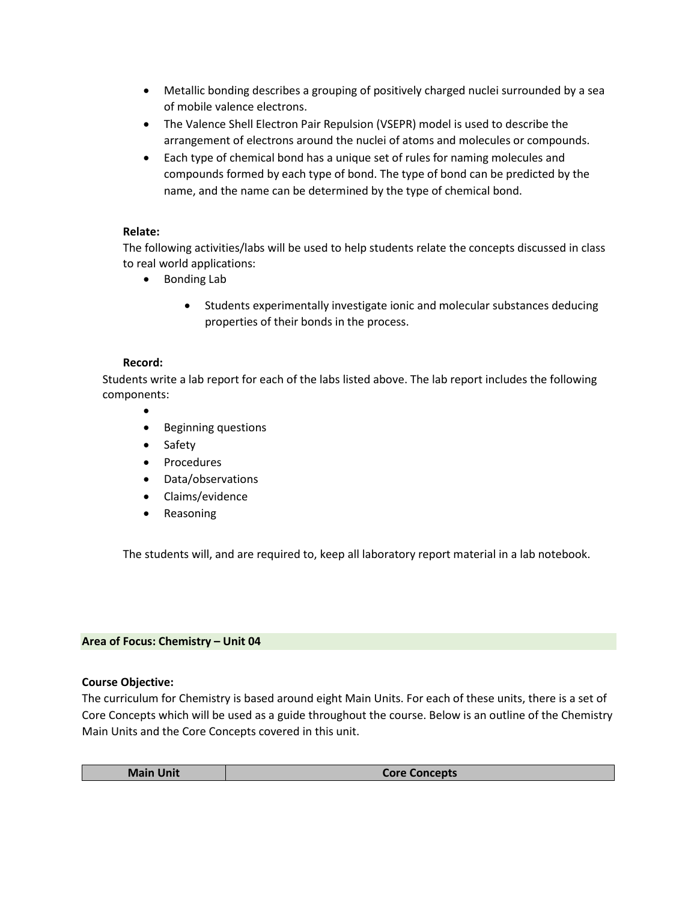- Metallic bonding describes a grouping of positively charged nuclei surrounded by a sea of mobile valence electrons.
- The Valence Shell Electron Pair Repulsion (VSEPR) model is used to describe the arrangement of electrons around the nuclei of atoms and molecules or compounds.
- Each type of chemical bond has a unique set of rules for naming molecules and compounds formed by each type of bond. The type of bond can be predicted by the name, and the name can be determined by the type of chemical bond.

# **Relate:**

The following activities/labs will be used to help students relate the concepts discussed in class to real world applications:

- Bonding Lab
	- Students experimentally investigate ionic and molecular substances deducing properties of their bonds in the process.

## **Record:**

•

Students write a lab report for each of the labs listed above. The lab report includes the following components:

- Beginning questions
- Safety
- Procedures
- Data/observations
- Claims/evidence
- Reasoning

The students will, and are required to, keep all laboratory report material in a lab notebook.

## **Area of Focus: Chemistry – Unit 04**

## **Course Objective:**

The curriculum for Chemistry is based around eight Main Units. For each of these units, there is a set of Core Concepts which will be used as a guide throughout the course. Below is an outline of the Chemistry Main Units and the Core Concepts covered in this unit.

| <b>Main Unit</b> | <b>Core Concepts</b> |
|------------------|----------------------|
|                  |                      |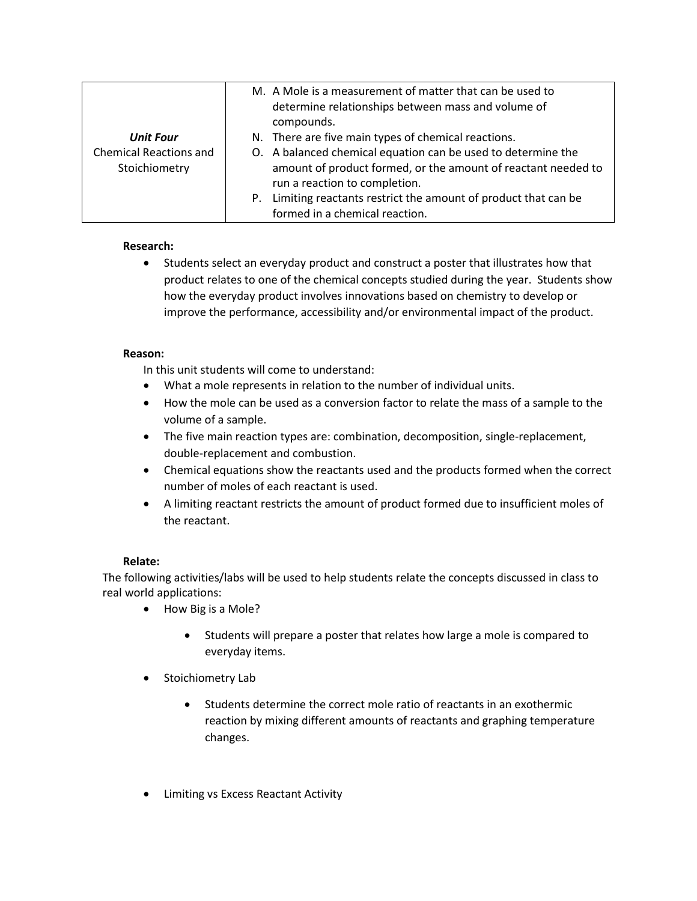|                               | M. A Mole is a measurement of matter that can be used to<br>determine relationships between mass and volume of<br>compounds. |
|-------------------------------|------------------------------------------------------------------------------------------------------------------------------|
| <b>Unit Four</b>              | N. There are five main types of chemical reactions.                                                                          |
| <b>Chemical Reactions and</b> | O. A balanced chemical equation can be used to determine the                                                                 |
| Stoichiometry                 | amount of product formed, or the amount of reactant needed to                                                                |
|                               | run a reaction to completion.                                                                                                |
|                               | Limiting reactants restrict the amount of product that can be<br>P.                                                          |
|                               | formed in a chemical reaction.                                                                                               |

• Students select an everyday product and construct a poster that illustrates how that product relates to one of the chemical concepts studied during the year. Students show how the everyday product involves innovations based on chemistry to develop or improve the performance, accessibility and/or environmental impact of the product.

# **Reason:**

In this unit students will come to understand:

- What a mole represents in relation to the number of individual units.
- How the mole can be used as a conversion factor to relate the mass of a sample to the volume of a sample.
- The five main reaction types are: combination, decomposition, single-replacement, double-replacement and combustion.
- Chemical equations show the reactants used and the products formed when the correct number of moles of each reactant is used.
- A limiting reactant restricts the amount of product formed due to insufficient moles of the reactant.

# **Relate:**

The following activities/labs will be used to help students relate the concepts discussed in class to real world applications:

- How Big is a Mole?
	- Students will prepare a poster that relates how large a mole is compared to everyday items.
- Stoichiometry Lab
	- Students determine the correct mole ratio of reactants in an exothermic reaction by mixing different amounts of reactants and graphing temperature changes.
- Limiting vs Excess Reactant Activity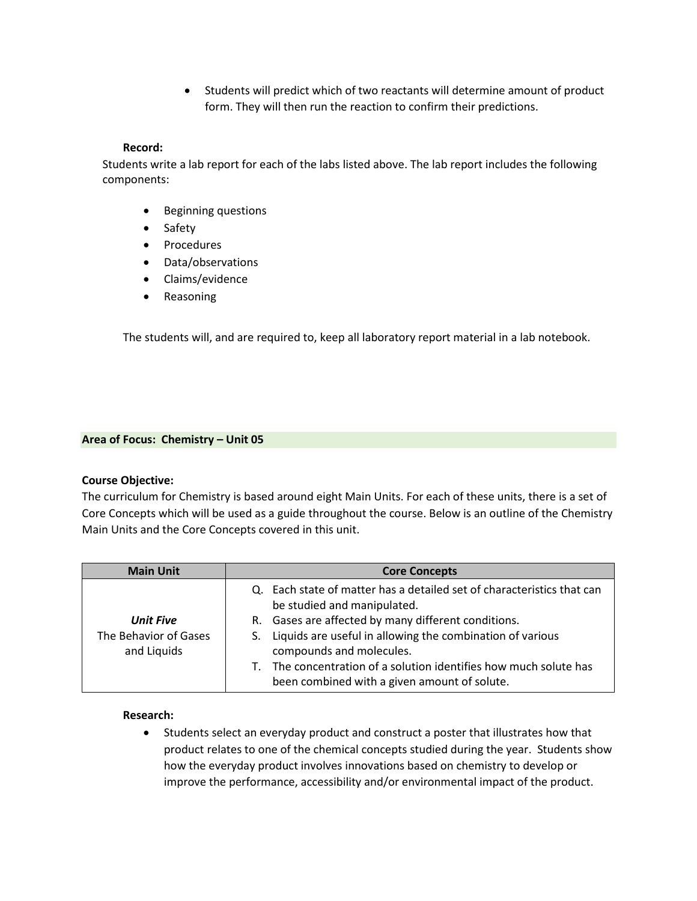• Students will predict which of two reactants will determine amount of product form. They will then run the reaction to confirm their predictions.

# **Record:**

Students write a lab report for each of the labs listed above. The lab report includes the following components:

- Beginning questions
- Safety
- Procedures
- Data/observations
- Claims/evidence
- Reasoning

The students will, and are required to, keep all laboratory report material in a lab notebook.

## **Area of Focus: Chemistry – Unit 05**

## **Course Objective:**

The curriculum for Chemistry is based around eight Main Units. For each of these units, there is a set of Core Concepts which will be used as a guide throughout the course. Below is an outline of the Chemistry Main Units and the Core Concepts covered in this unit.

| <b>Main Unit</b>                                         | <b>Core Concepts</b>                                                                                                                                                                                                                                                                                                                                                                |
|----------------------------------------------------------|-------------------------------------------------------------------------------------------------------------------------------------------------------------------------------------------------------------------------------------------------------------------------------------------------------------------------------------------------------------------------------------|
| <b>Unit Five</b><br>The Behavior of Gases<br>and Liquids | Q. Each state of matter has a detailed set of characteristics that can<br>be studied and manipulated.<br>Gases are affected by many different conditions.<br>R.<br>Liquids are useful in allowing the combination of various<br>S.<br>compounds and molecules.<br>T. The concentration of a solution identifies how much solute has<br>been combined with a given amount of solute. |

## **Research:**

• Students select an everyday product and construct a poster that illustrates how that product relates to one of the chemical concepts studied during the year. Students show how the everyday product involves innovations based on chemistry to develop or improve the performance, accessibility and/or environmental impact of the product.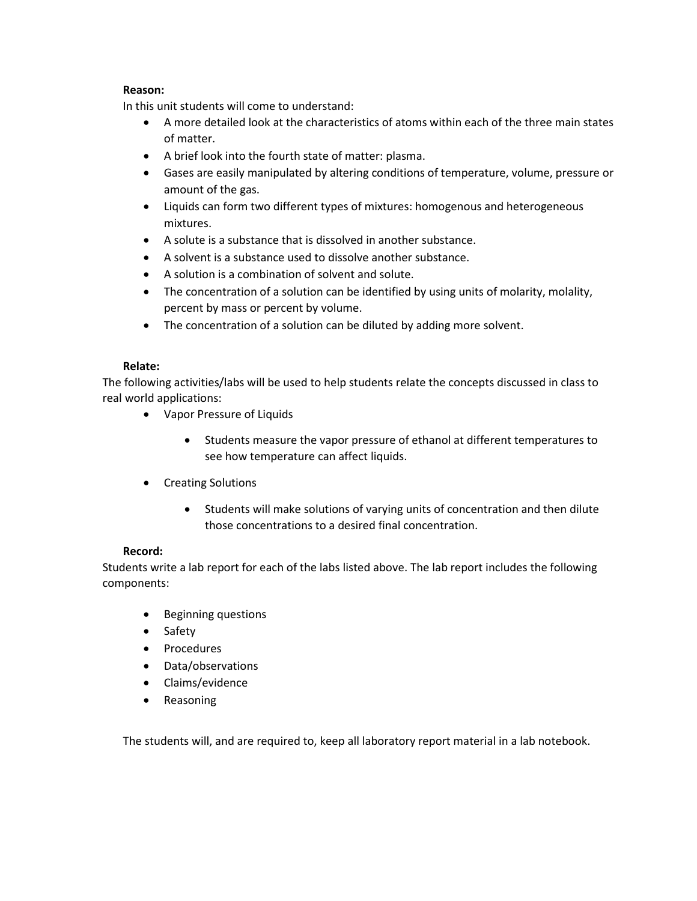# **Reason:**

In this unit students will come to understand:

- A more detailed look at the characteristics of atoms within each of the three main states of matter.
- A brief look into the fourth state of matter: plasma.
- Gases are easily manipulated by altering conditions of temperature, volume, pressure or amount of the gas.
- Liquids can form two different types of mixtures: homogenous and heterogeneous mixtures.
- A solute is a substance that is dissolved in another substance.
- A solvent is a substance used to dissolve another substance.
- A solution is a combination of solvent and solute.
- The concentration of a solution can be identified by using units of molarity, molality, percent by mass or percent by volume.
- The concentration of a solution can be diluted by adding more solvent.

# **Relate:**

The following activities/labs will be used to help students relate the concepts discussed in class to real world applications:

- Vapor Pressure of Liquids
	- Students measure the vapor pressure of ethanol at different temperatures to see how temperature can affect liquids.
- Creating Solutions
	- Students will make solutions of varying units of concentration and then dilute those concentrations to a desired final concentration.

# **Record:**

Students write a lab report for each of the labs listed above. The lab report includes the following components:

- Beginning questions
- Safety
- Procedures
- Data/observations
- Claims/evidence
- Reasoning

The students will, and are required to, keep all laboratory report material in a lab notebook.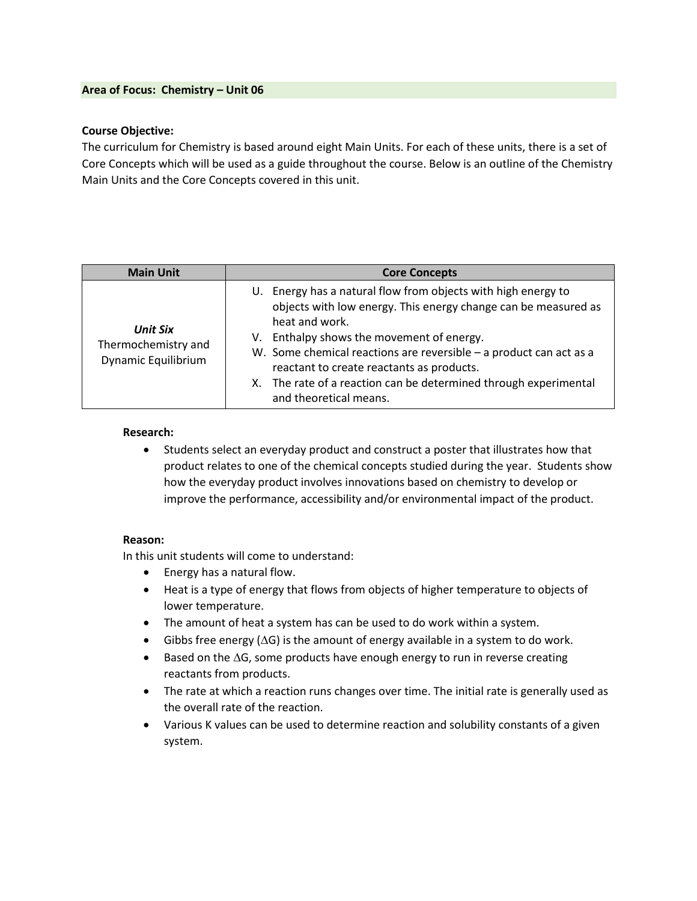### **Area of Focus: Chemistry – Unit 06**

## **Course Objective:**

The curriculum for Chemistry is based around eight Main Units. For each of these units, there is a set of Core Concepts which will be used as a guide throughout the course. Below is an outline of the Chemistry Main Units and the Core Concepts covered in this unit.

| <b>Main Unit</b>                                              | <b>Core Concepts</b>                                                                                                                                                                                                                                                                                                                                                                                            |
|---------------------------------------------------------------|-----------------------------------------------------------------------------------------------------------------------------------------------------------------------------------------------------------------------------------------------------------------------------------------------------------------------------------------------------------------------------------------------------------------|
| <b>Unit Six</b><br>Thermochemistry and<br>Dynamic Equilibrium | U. Energy has a natural flow from objects with high energy to<br>objects with low energy. This energy change can be measured as<br>heat and work.<br>V. Enthalpy shows the movement of energy.<br>W. Some chemical reactions are reversible - a product can act as a<br>reactant to create reactants as products.<br>X. The rate of a reaction can be determined through experimental<br>and theoretical means. |

## **Research:**

• Students select an everyday product and construct a poster that illustrates how that product relates to one of the chemical concepts studied during the year. Students show how the everyday product involves innovations based on chemistry to develop or improve the performance, accessibility and/or environmental impact of the product.

### **Reason:**

In this unit students will come to understand:

- Energy has a natural flow.
- Heat is a type of energy that flows from objects of higher temperature to objects of lower temperature.
- The amount of heat a system has can be used to do work within a system.
- Gibbs free energy  $(\Delta G)$  is the amount of energy available in a system to do work.
- Based on the  $\Delta G$ , some products have enough energy to run in reverse creating reactants from products.
- The rate at which a reaction runs changes over time. The initial rate is generally used as the overall rate of the reaction.
- Various K values can be used to determine reaction and solubility constants of a given system.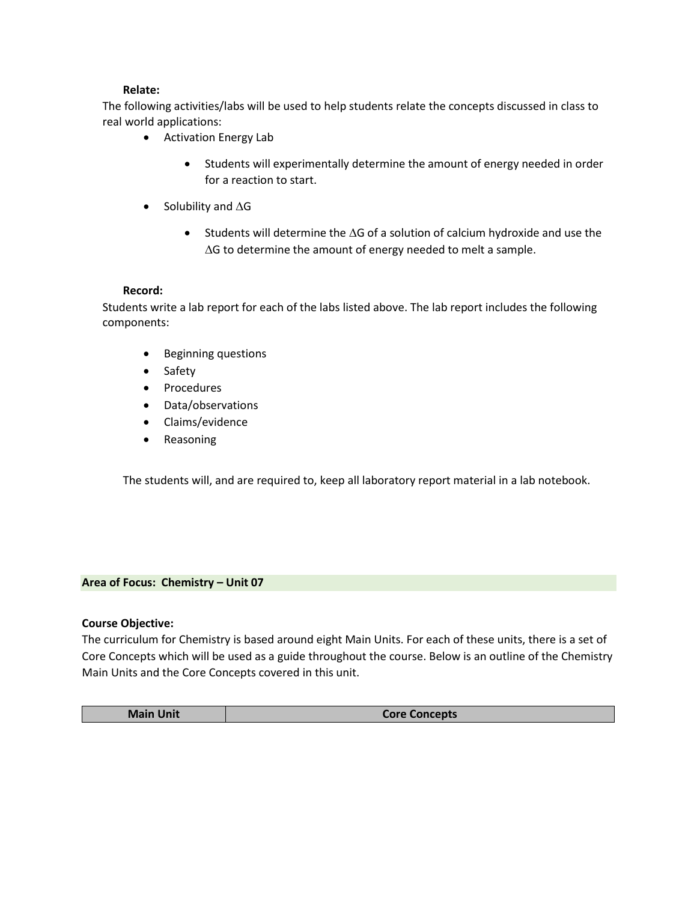# **Relate:**

The following activities/labs will be used to help students relate the concepts discussed in class to real world applications:

- Activation Energy Lab
	- Students will experimentally determine the amount of energy needed in order for a reaction to start.
- Solubility and  $\Delta G$ 
	- Students will determine the  $\Delta G$  of a solution of calcium hydroxide and use the  $\Delta G$  to determine the amount of energy needed to melt a sample.

# **Record:**

Students write a lab report for each of the labs listed above. The lab report includes the following components:

- Beginning questions
- Safety
- Procedures
- Data/observations
- Claims/evidence
- Reasoning

The students will, and are required to, keep all laboratory report material in a lab notebook.

## **Area of Focus: Chemistry – Unit 07**

## **Course Objective:**

The curriculum for Chemistry is based around eight Main Units. For each of these units, there is a set of Core Concepts which will be used as a guide throughout the course. Below is an outline of the Chemistry Main Units and the Core Concepts covered in this unit.

| <b>Main Unit</b> | ∩re<br>Concepts |
|------------------|-----------------|
|                  |                 |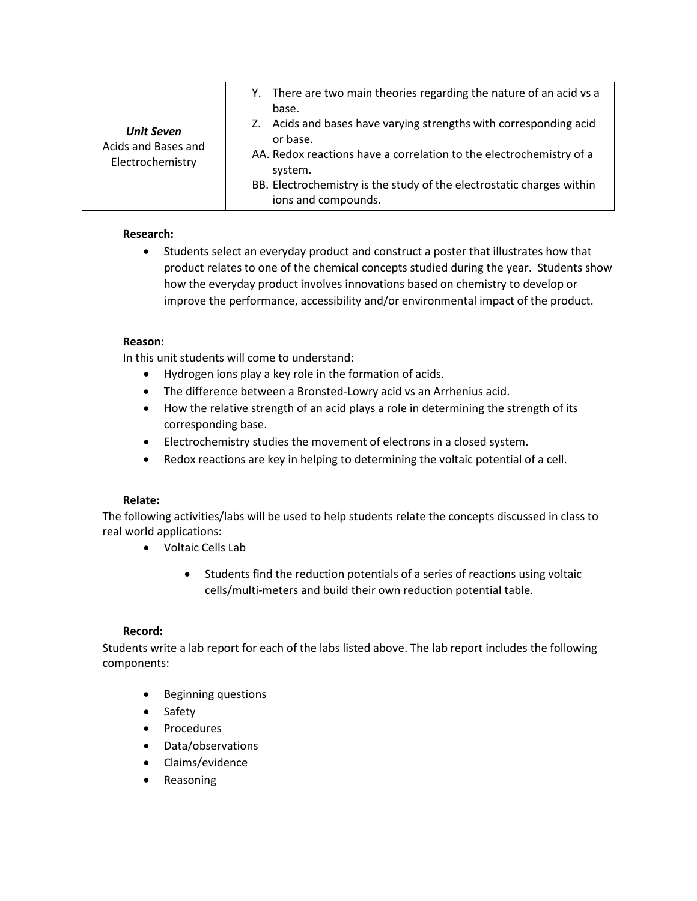| <b>Unit Seven</b><br>Acids and Bases and<br>Electrochemistry | There are two main theories regarding the nature of an acid vs a<br>Y.<br>base.              |
|--------------------------------------------------------------|----------------------------------------------------------------------------------------------|
|                                                              | Z. Acids and bases have varying strengths with corresponding acid<br>or base.                |
|                                                              | AA. Redox reactions have a correlation to the electrochemistry of a<br>system.               |
|                                                              | BB. Electrochemistry is the study of the electrostatic charges within<br>ions and compounds. |

• Students select an everyday product and construct a poster that illustrates how that product relates to one of the chemical concepts studied during the year. Students show how the everyday product involves innovations based on chemistry to develop or improve the performance, accessibility and/or environmental impact of the product.

## **Reason:**

In this unit students will come to understand:

- Hydrogen ions play a key role in the formation of acids.
- The difference between a Bronsted-Lowry acid vs an Arrhenius acid.
- How the relative strength of an acid plays a role in determining the strength of its corresponding base.
- Electrochemistry studies the movement of electrons in a closed system.
- Redox reactions are key in helping to determining the voltaic potential of a cell.

## **Relate:**

The following activities/labs will be used to help students relate the concepts discussed in class to real world applications:

- Voltaic Cells Lab
	- Students find the reduction potentials of a series of reactions using voltaic cells/multi-meters and build their own reduction potential table.

### **Record:**

Students write a lab report for each of the labs listed above. The lab report includes the following components:

- Beginning questions
- Safety
- Procedures
- Data/observations
- Claims/evidence
- Reasoning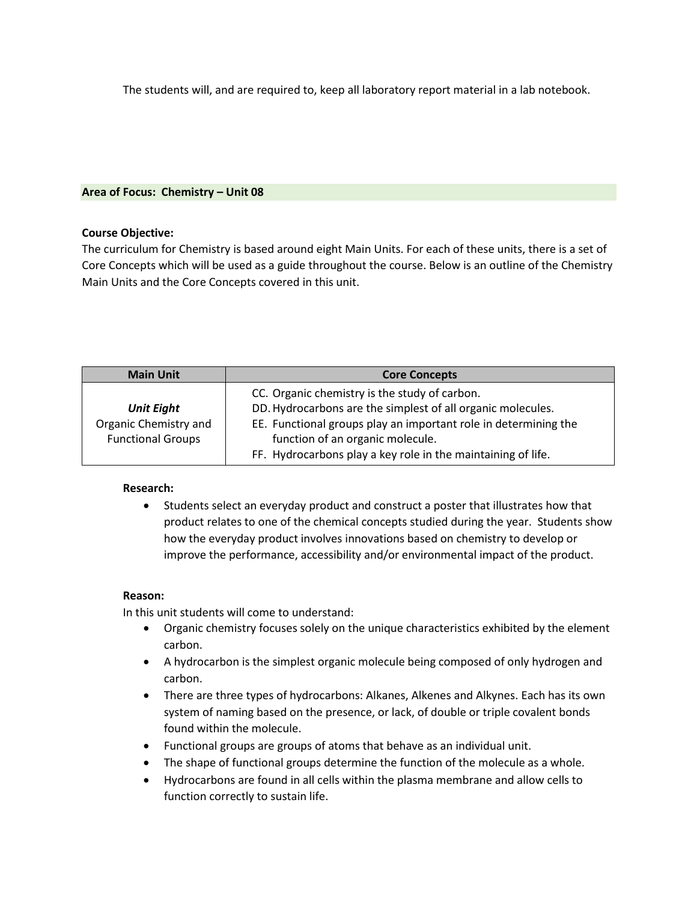The students will, and are required to, keep all laboratory report material in a lab notebook.

### **Area of Focus: Chemistry – Unit 08**

## **Course Objective:**

The curriculum for Chemistry is based around eight Main Units. For each of these units, there is a set of Core Concepts which will be used as a guide throughout the course. Below is an outline of the Chemistry Main Units and the Core Concepts covered in this unit.

| <b>Main Unit</b>                                                       | <b>Core Concepts</b>                                                                                                                                                                                                                                                                |
|------------------------------------------------------------------------|-------------------------------------------------------------------------------------------------------------------------------------------------------------------------------------------------------------------------------------------------------------------------------------|
| <b>Unit Eight</b><br>Organic Chemistry and<br><b>Functional Groups</b> | CC. Organic chemistry is the study of carbon.<br>DD. Hydrocarbons are the simplest of all organic molecules.<br>EE. Functional groups play an important role in determining the<br>function of an organic molecule.<br>FF. Hydrocarbons play a key role in the maintaining of life. |

### **Research:**

• Students select an everyday product and construct a poster that illustrates how that product relates to one of the chemical concepts studied during the year. Students show how the everyday product involves innovations based on chemistry to develop or improve the performance, accessibility and/or environmental impact of the product.

### **Reason:**

In this unit students will come to understand:

- Organic chemistry focuses solely on the unique characteristics exhibited by the element carbon.
- A hydrocarbon is the simplest organic molecule being composed of only hydrogen and carbon.
- There are three types of hydrocarbons: Alkanes, Alkenes and Alkynes. Each has its own system of naming based on the presence, or lack, of double or triple covalent bonds found within the molecule.
- Functional groups are groups of atoms that behave as an individual unit.
- The shape of functional groups determine the function of the molecule as a whole.
- Hydrocarbons are found in all cells within the plasma membrane and allow cells to function correctly to sustain life.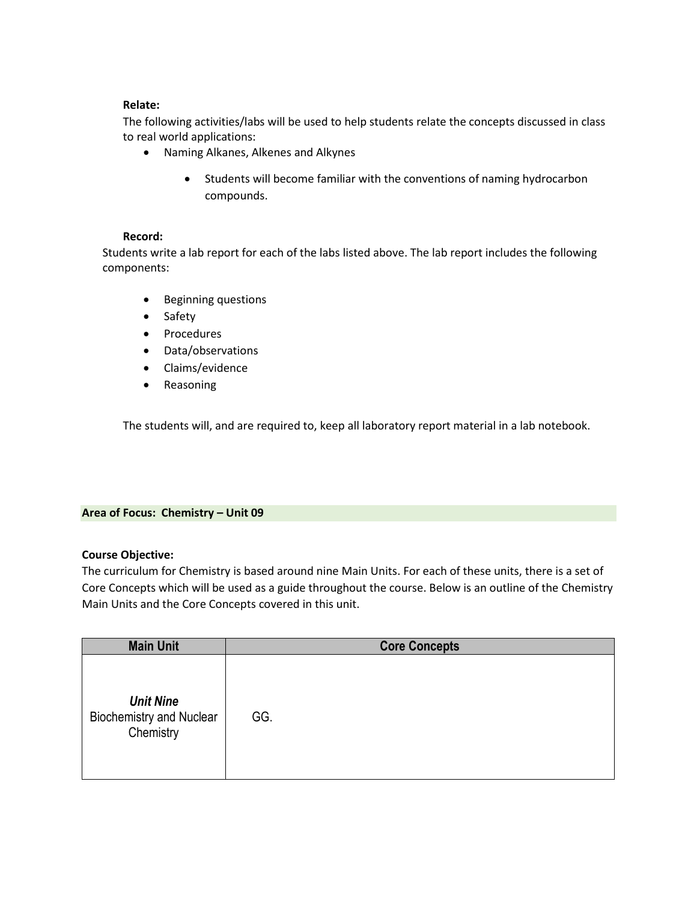# **Relate:**

The following activities/labs will be used to help students relate the concepts discussed in class to real world applications:

- Naming Alkanes, Alkenes and Alkynes
	- Students will become familiar with the conventions of naming hydrocarbon compounds.

## **Record:**

Students write a lab report for each of the labs listed above. The lab report includes the following components:

- Beginning questions
- Safety
- Procedures
- Data/observations
- Claims/evidence
- Reasoning

The students will, and are required to, keep all laboratory report material in a lab notebook.

# **Area of Focus: Chemistry – Unit 09**

## **Course Objective:**

The curriculum for Chemistry is based around nine Main Units. For each of these units, there is a set of Core Concepts which will be used as a guide throughout the course. Below is an outline of the Chemistry Main Units and the Core Concepts covered in this unit.

| <b>Main Unit</b>                                                 | <b>Core Concepts</b> |
|------------------------------------------------------------------|----------------------|
| <b>Unit Nine</b><br><b>Biochemistry and Nuclear</b><br>Chemistry | GG.                  |